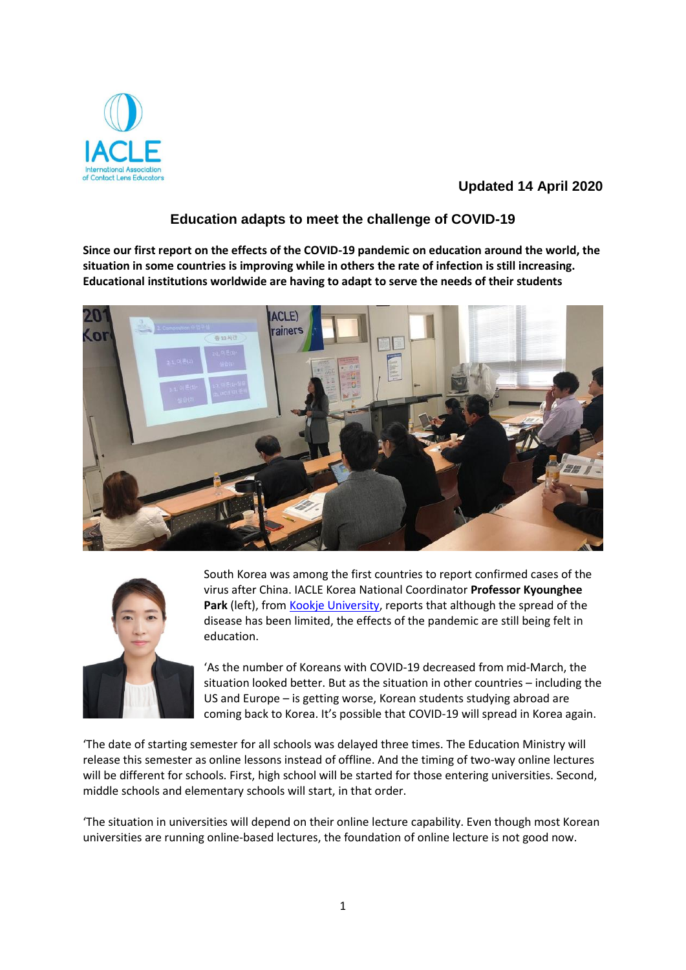

## **Updated 14 April 2020**

## **Education adapts to meet the challenge of COVID-19**

**Since our first report on the effects of the COVID-19 pandemic on education around the world, the situation in some countries is improving while in others the rate of infection is still increasing. Educational institutions worldwide are having to adapt to serve the needs of their students** 





South Korea was among the first countries to report confirmed cases of the virus after China. IACLE Korea National Coordinator **Professor Kyounghee**  Park (left), from Kookje University, reports that although the spread of the disease has been limited, the effects of the pandemic are still being felt in education.

'As the number of Koreans with COVID-19 decreased from mid-March, the situation looked better. But as the situation in other countries – including the US and Europe – is getting worse, Korean students studying abroad are coming back to Korea. It's possible that COVID-19 will spread in Korea again.

'The date of starting semester for all schools was delayed three times. The Education Ministry will release this semester as online lessons instead of offline. And the timing of two-way online lectures will be different for schools. First, high school will be started for those entering universities. Second, middle schools and elementary schools will start, in that order.

'The situation in universities will depend on their online lecture capability. Even though most Korean universities are running online-based lectures, the foundation of online lecture is not good now.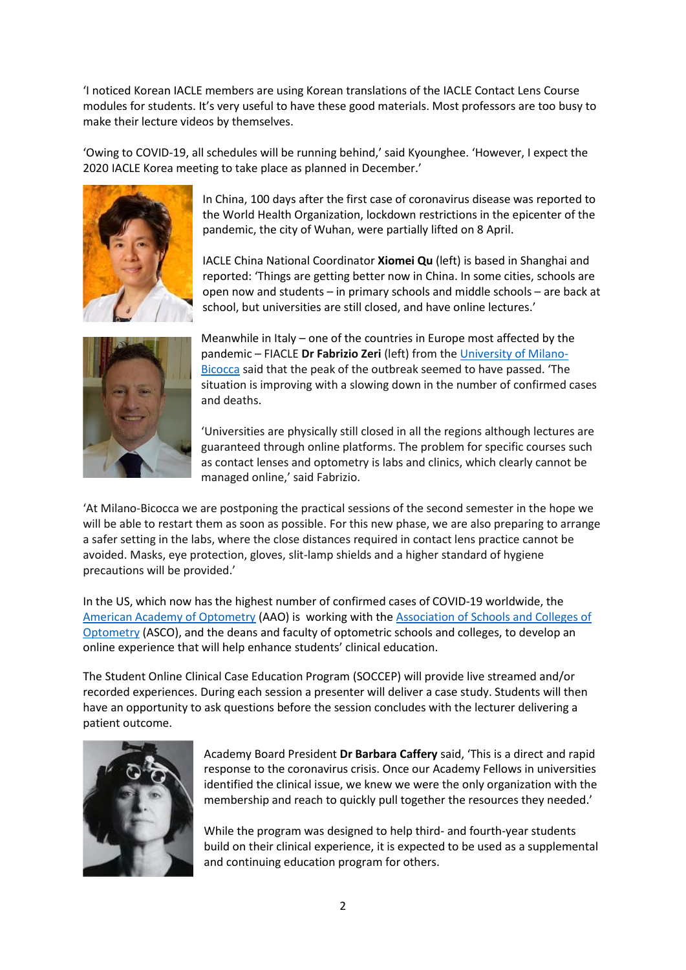'I noticed Korean IACLE members are using Korean translations of the IACLE Contact Lens Course modules for students. It's very useful to have these good materials. Most professors are too busy to make their lecture videos by themselves.

'Owing to COVID-19, all schedules will be running behind,' said Kyounghee. 'However, I expect the 2020 IACLE Korea meeting to take place as planned in December.'



In China, 100 days after the first case of coronavirus disease was reported to the World Health Organization, lockdown restrictions in the epicenter of the pandemic, the city of Wuhan, were partially lifted on 8 April.

IACLE China National Coordinator **Xiomei Qu** (left) is based in Shanghai and reported: 'Things are getting better now in China. In some cities, schools are open now and students – in primary schools and middle schools – are back at school, but universities are still closed, and have online lectures.'



Meanwhile in Italy – one of the countries in Europe most affected by the pandemic – FIACLE **Dr Fabrizio Zeri** (left) from the University of Milano-Bicocca said that the peak of the outbreak seemed to have passed. 'The situation is improving with a slowing down in the number of confirmed cases and deaths.

'Universities are physically still closed in all the regions although lectures are guaranteed through online platforms. The problem for specific courses such as contact lenses and optometry is labs and clinics, which clearly cannot be managed online,' said Fabrizio.

'At Milano-Bicocca we are postponing the practical sessions of the second semester in the hope we will be able to restart them as soon as possible. For this new phase, we are also preparing to arrange a safer setting in the labs, where the close distances required in contact lens practice cannot be avoided. Masks, eye protection, gloves, slit-lamp shields and a higher standard of hygiene precautions will be provided.'

In the US, which now has the highest number of confirmed cases of COVID-19 worldwide, the American Academy of Optometry (AAO) is working with the Association of Schools and Colleges of Optometry (ASCO), and the deans and faculty of optometric schools and colleges, to develop an online experience that will help enhance students' clinical education.

The Student Online Clinical Case Education Program (SOCCEP) will provide live streamed and/or recorded experiences. During each session a presenter will deliver a case study. Students will then have an opportunity to ask questions before the session concludes with the lecturer delivering a patient outcome.



Academy Board President **Dr Barbara Caffery** said, 'This is a direct and rapid response to the coronavirus crisis. Once our Academy Fellows in universities identified the clinical issue, we knew we were the only organization with the membership and reach to quickly pull together the resources they needed.'

While the program was designed to help third- and fourth-year students build on their clinical experience, it is expected to be used as a supplemental and continuing education program for others.